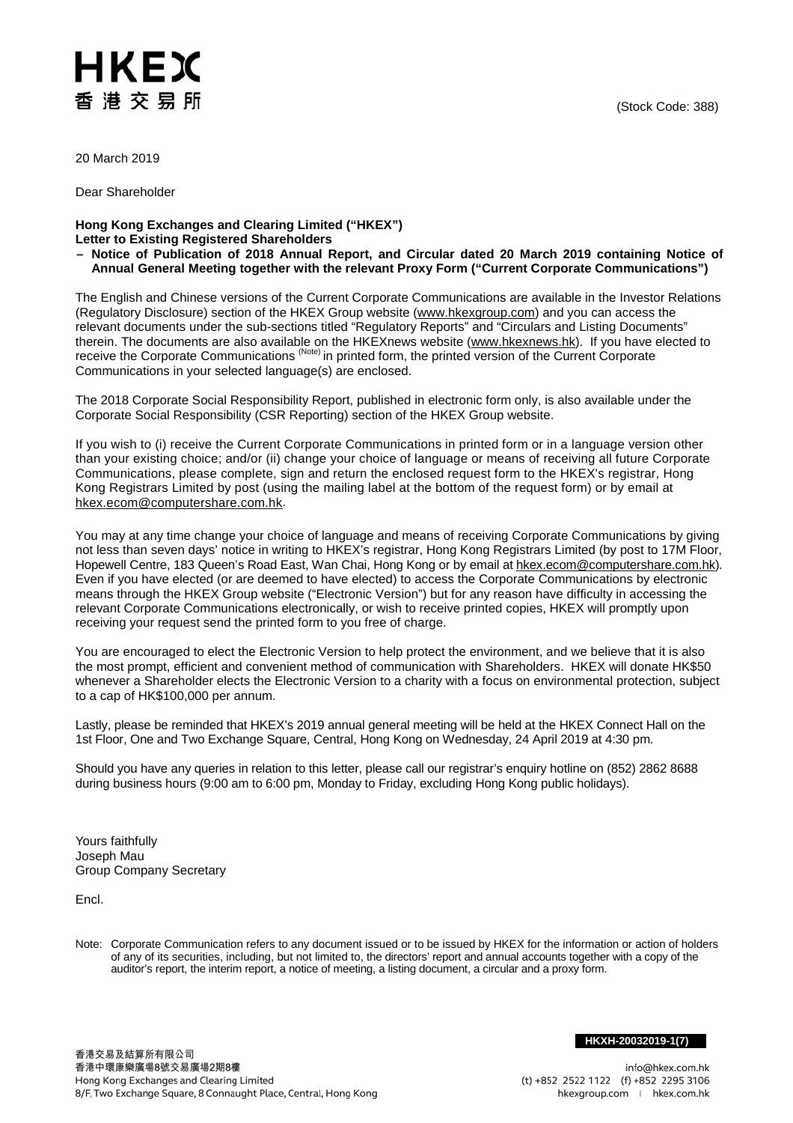## (Stock Code: 388)

HKEX 香港交易所

20 March 2019

Dear Shareholder

**Hong Kong Exchanges and Clearing Limited ("HKEX") Letter to Existing Registered Shareholders**

**– Notice of Publication of 2018 Annual Report, and Circular dated 20 March 2019 containing Notice of Annual General Meeting together with the relevant Proxy Form ("Current Corporate Communications")**

The English and Chinese versions of the Current Corporate Communications are available in the Investor Relations (Regulatory Disclosure) section of the HKEX Group website [\(www.hkexgroup.com\)](http://www.hkexgroup.com/) and you can access the relevant documents under the sub-sections titled "Regulatory Reports" and "Circulars and Listing Documents" therein. The documents are also available on the HKEXnews website (<u>www.hkexnews.hk</u>). If you have elected to receive the Corporate Communications <sup>(Note)</sup> in printed form, the printed version of the Current Corporate Communications in your selected language(s) are enclosed.

The 2018 Corporate Social Responsibility Report, published in electronic form only, is also available under the Corporate Social Responsibility (CSR Reporting) section of the HKEX Group website.

If you wish to (i) receive the Current Corporate Communications in printed form or in a language version other than your existing choice; and/or (ii) change your choice of language or means of receiving all future Corporate Communications, please complete, sign and return the enclosed request form to the HKEX's registrar, Hong Kong Registrars Limited by post (using the mailing label at the bottom of the request form) or by email at [hkex.ecom@computershare.com.hk.](mailto:hkex.ecom@computershare.com.hk)

You may at any time change your choice of language and means of receiving Corporate Communications by giving not less than seven days' notice in writing to HKEX's registrar, Hong Kong Registrars Limited (by post to 17M Floor, Hopewell Centre, 183 Queen's Road East, Wan Chai, Hong Kong or by email a[t hkex.ecom@computershare.com.hk\)](mailto:hkex.ecom@computershare.com.hk). Even if you have elected (or are deemed to have elected) to access the Corporate Communications by electronic means through the HKEX Group website ("Electronic Version") but for any reason have difficulty in accessing the relevant Corporate Communications electronically, or wish to receive printed copies, HKEX will promptly upon receiving your request send the printed form to you free of charge.

You are encouraged to elect the Electronic Version to help protect the environment, and we believe that it is also the most prompt, efficient and convenient method of communication with Shareholders. HKEX will donate HK\$50 whenever a Shareholder elects the Electronic Version to a charity with a focus on environmental protection, subject to a cap of HK\$100,000 per annum.

Lastly, please be reminded that HKEX's 2019 annual general meeting will be held at the HKEX Connect Hall on the 1st Floor, One and Two Exchange Square, Central, Hong Kong on Wednesday, 24 April 2019 at 4:30 pm.

Should you have any queries in relation to this letter, please call our registrar's enquiry hotline on (852) 2862 8688 during business hours (9:00 am to 6:00 pm, Monday to Friday, excluding Hong Kong public holidays).

Yours faithfully Joseph Mau Group Company Secretary

Encl.

Note: Corporate Communication refers to any document issued or to be issued by HKEX for the information or action of holders of any of its securities, including, but not limited to, the directors' report and annual accounts together with a copy of the auditor's report, the interim report, a notice of meeting, a listing document, a circular and a proxy form.

**HKXH-20032019-1(7)**